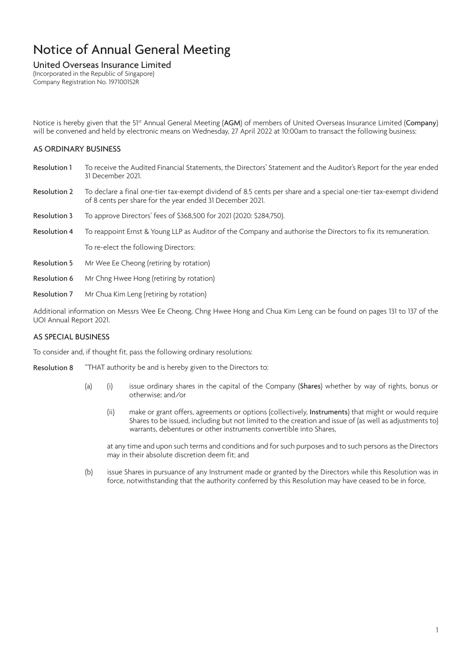### United Overseas Insurance Limited

(Incorporated in the Republic of Singapore) Company Registration No. 197100152R

Notice is hereby given that the 51<sup>st</sup> Annual General Meeting (AGM) of members of United Overseas Insurance Limited (Company) will be convened and held by electronic means on Wednesday, 27 April 2022 at 10:00am to transact the following business:

## AS ORDINARY BUSINESS

- Resolution 1 To receive the Audited Financial Statements, the Directors' Statement and the Auditor's Report for the year ended 31 December 2021.
- Resolution 2 To declare a final one-tier tax-exempt dividend of 8.5 cents per share and a special one-tier tax-exempt dividend of 8 cents per share for the year ended 31 December 2021.
- Resolution 3 To approve Directors' fees of \$368,500 for 2021 (2020: \$284,750).
- Resolution 4 To reappoint Ernst & Young LLP as Auditor of the Company and authorise the Directors to fix its remuneration.
	- To re-elect the following Directors:
- Resolution 5 Mr Wee Ee Cheong (retiring by rotation)
- Resolution 6 Mr Chng Hwee Hong (retiring by rotation)
- Resolution 7 Mr Chua Kim Leng (retiring by rotation)

Additional information on Messrs Wee Ee Cheong, Chng Hwee Hong and Chua Kim Leng can be found on pages 131 to 137 of the UOI Annual Report 2021.

### AS SPECIAL BUSINESS

To consider and, if thought fit, pass the following ordinary resolutions:

- Resolution 8 "THAT authority be and is hereby given to the Directors to:
	- (a) (i) issue ordinary shares in the capital of the Company (Shares) whether by way of rights, bonus or otherwise; and/or
		- (ii) make or grant offers, agreements or options (collectively, Instruments) that might or would require Shares to be issued, including but not limited to the creation and issue of (as well as adjustments to) warrants, debentures or other instruments convertible into Shares,

at any time and upon such terms and conditions and for such purposes and to such persons as the Directors may in their absolute discretion deem fit; and

(b) issue Shares in pursuance of any Instrument made or granted by the Directors while this Resolution was in force, notwithstanding that the authority conferred by this Resolution may have ceased to be in force,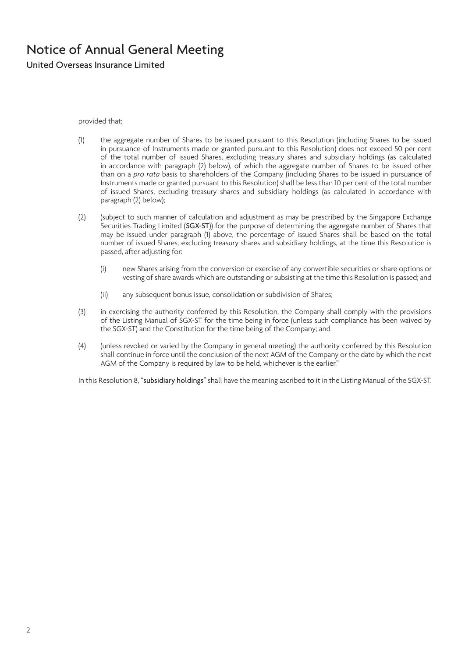United Overseas Insurance Limited

provided that:

- (1) the aggregate number of Shares to be issued pursuant to this Resolution (including Shares to be issued in pursuance of Instruments made or granted pursuant to this Resolution) does not exceed 50 per cent of the total number of issued Shares, excluding treasury shares and subsidiary holdings (as calculated in accordance with paragraph (2) below), of which the aggregate number of Shares to be issued other than on a *pro rata* basis to shareholders of the Company (including Shares to be issued in pursuance of Instruments made or granted pursuant to this Resolution) shall be less than 10 per cent of the total number of issued Shares, excluding treasury shares and subsidiary holdings (as calculated in accordance with paragraph (2) below);
- (2) (subject to such manner of calculation and adjustment as may be prescribed by the Singapore Exchange Securities Trading Limited (SGX-ST)) for the purpose of determining the aggregate number of Shares that may be issued under paragraph (1) above, the percentage of issued Shares shall be based on the total number of issued Shares, excluding treasury shares and subsidiary holdings, at the time this Resolution is passed, after adjusting for:
	- (i) new Shares arising from the conversion or exercise of any convertible securities or share options or vesting of share awards which are outstanding or subsisting at the time this Resolution is passed; and
	- (ii) any subsequent bonus issue, consolidation or subdivision of Shares;
- (3) in exercising the authority conferred by this Resolution, the Company shall comply with the provisions of the Listing Manual of SGX-ST for the time being in force (unless such compliance has been waived by the SGX-ST) and the Constitution for the time being of the Company; and
- (4) (unless revoked or varied by the Company in general meeting) the authority conferred by this Resolution shall continue in force until the conclusion of the next AGM of the Company or the date by which the next AGM of the Company is required by law to be held, whichever is the earlier."

In this Resolution 8, "subsidiary holdings" shall have the meaning ascribed to it in the Listing Manual of the SGX-ST.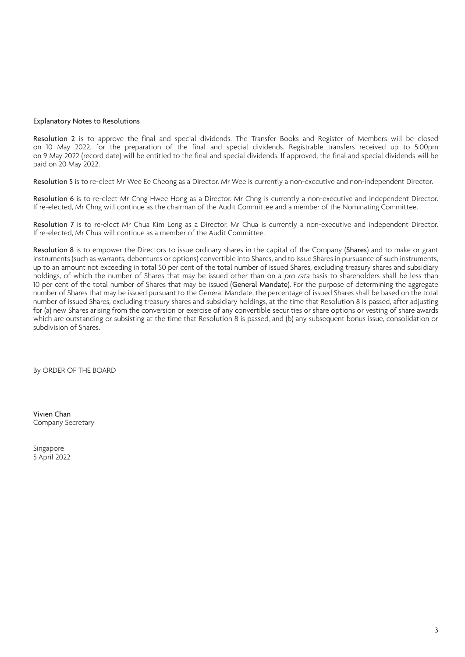#### Explanatory Notes to Resolutions

Resolution 2 is to approve the final and special dividends. The Transfer Books and Register of Members will be closed on 10 May 2022, for the preparation of the final and special dividends. Registrable transfers received up to 5:00pm on 9 May 2022 (record date) will be entitled to the final and special dividends. If approved, the final and special dividends will be paid on 20 May 2022.

Resolution 5 is to re-elect Mr Wee Ee Cheong as a Director. Mr Wee is currently a non-executive and non-independent Director.

Resolution 6 is to re-elect Mr Chng Hwee Hong as a Director. Mr Chng is currently a non-executive and independent Director. If re-elected, Mr Chng will continue as the chairman of the Audit Committee and a member of the Nominating Committee.

Resolution 7 is to re-elect Mr Chua Kim Leng as a Director. Mr Chua is currently a non-executive and independent Director. If re-elected, Mr Chua will continue as a member of the Audit Committee.

Resolution 8 is to empower the Directors to issue ordinary shares in the capital of the Company (Shares) and to make or grant instruments (such as warrants, debentures or options) convertible into Shares, and to issue Shares in pursuance of such instruments, up to an amount not exceeding in total 50 per cent of the total number of issued Shares, excluding treasury shares and subsidiary holdings, of which the number of Shares that may be issued other than on a pro rata basis to shareholders shall be less than 10 per cent of the total number of Shares that may be issued (General Mandate). For the purpose of determining the aggregate number of Shares that may be issued pursuant to the General Mandate, the percentage of issued Shares shall be based on the total number of issued Shares, excluding treasury shares and subsidiary holdings, at the time that Resolution 8 is passed, after adjusting for (a) new Shares arising from the conversion or exercise of any convertible securities or share options or vesting of share awards which are outstanding or subsisting at the time that Resolution 8 is passed, and (b) any subsequent bonus issue, consolidation or subdivision of Shares.

By ORDER OF THE BOARD

Vivien Chan Company Secretary

Singapore 5 April 2022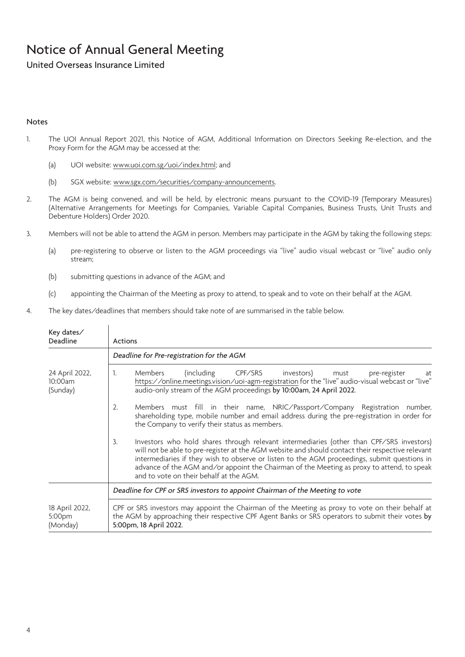United Overseas Insurance Limited

### Notes

- 1. The UOI Annual Report 2021, this Notice of AGM, Additional Information on Directors Seeking Re-election, and the Proxy Form for the AGM may be accessed at the:
	- (a) UOI website: www.uoi.com.sg/uoi/index.html; and
	- (b) SGX website: www.sgx.com/securities/company-announcements.
- 2. The AGM is being convened, and will be held, by electronic means pursuant to the COVID-19 (Temporary Measures) (Alternative Arrangements for Meetings for Companies, Variable Capital Companies, Business Trusts, Unit Trusts and Debenture Holders) Order 2020.
- 3. Members will not be able to attend the AGM in person. Members may participate in the AGM by taking the following steps:
	- (a) pre-registering to observe or listen to the AGM proceedings via "live" audio visual webcast or "live" audio only stream;
	- (b) submitting questions in advance of the AGM; and
	- (c) appointing the Chairman of the Meeting as proxy to attend, to speak and to vote on their behalf at the AGM.
- 4. The key dates/deadlines that members should take note of are summarised in the table below.

| Key dates/<br>Deadline                | Actions                                                                                                                                                                                                                                                                                                                                                                                                                                     |  |  |
|---------------------------------------|---------------------------------------------------------------------------------------------------------------------------------------------------------------------------------------------------------------------------------------------------------------------------------------------------------------------------------------------------------------------------------------------------------------------------------------------|--|--|
|                                       | Deadline for Pre-registration for the AGM                                                                                                                                                                                                                                                                                                                                                                                                   |  |  |
| 24 April 2022,<br>10:00am<br>(Sunday) | (including CPF/SRS investors)<br>1.<br><b>Members</b><br>must<br>pre-register<br>at<br>https://online.meetings.vision/uoi-agm-registration for the "live" audio-visual webcast or "live"<br>audio-only stream of the AGM proceedings by 10:00am, 24 April 2022.                                                                                                                                                                             |  |  |
|                                       | Members must fill in their name, NRIC/Passport/Company Registration number,<br>2.<br>shareholding type, mobile number and email address during the pre-registration in order for<br>the Company to verify their status as members.                                                                                                                                                                                                          |  |  |
|                                       | Investors who hold shares through relevant intermediaries (other than CPF/SRS investors)<br>3.<br>will not be able to pre-register at the AGM website and should contact their respective relevant<br>intermediaries if they wish to observe or listen to the AGM proceedings, submit questions in<br>advance of the AGM and/or appoint the Chairman of the Meeting as proxy to attend, to speak<br>and to vote on their behalf at the AGM. |  |  |
|                                       | Deadline for CPF or SRS investors to appoint Chairman of the Meeting to vote                                                                                                                                                                                                                                                                                                                                                                |  |  |
| 18 April 2022,<br>5:00pm<br>(Monday)  | CPF or SRS investors may appoint the Chairman of the Meeting as proxy to vote on their behalf at<br>the AGM by approaching their respective CPF Agent Banks or SRS operators to submit their votes by<br>5:00pm, 18 April 2022.                                                                                                                                                                                                             |  |  |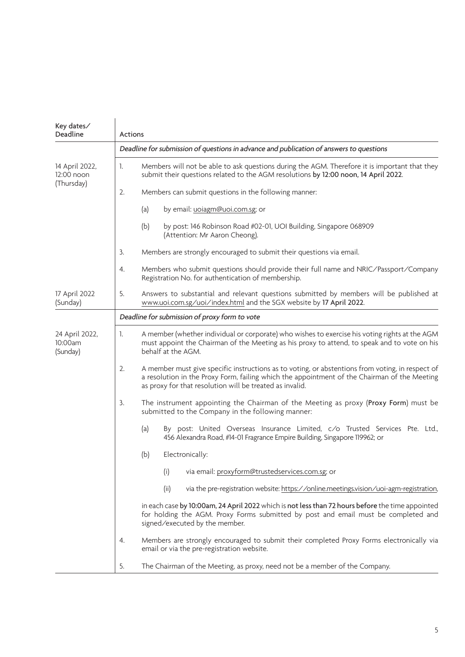| Key dates/<br>Deadline                | Actions                                                                                                                                                                                                                                                            |  |  |  |
|---------------------------------------|--------------------------------------------------------------------------------------------------------------------------------------------------------------------------------------------------------------------------------------------------------------------|--|--|--|
|                                       | Deadline for submission of questions in advance and publication of answers to questions                                                                                                                                                                            |  |  |  |
| 14 April 2022,<br>12:00 noon          | Members will not be able to ask questions during the AGM. Therefore it is important that they<br>1.<br>submit their questions related to the AGM resolutions by 12:00 noon, 14 April 2022.                                                                         |  |  |  |
| (Thursday)                            | Members can submit questions in the following manner:<br>2.                                                                                                                                                                                                        |  |  |  |
|                                       | (a)<br>by email: uoiagm@uoi.com.sg; or                                                                                                                                                                                                                             |  |  |  |
|                                       | (b)<br>by post: 146 Robinson Road #02-01, UOI Building, Singapore 068909<br>(Attention: Mr Aaron Cheong).                                                                                                                                                          |  |  |  |
|                                       | Members are strongly encouraged to submit their questions via email.<br>3.                                                                                                                                                                                         |  |  |  |
|                                       | Members who submit questions should provide their full name and NRIC/Passport/Company<br>4.<br>Registration No. for authentication of membership.                                                                                                                  |  |  |  |
| 17 April 2022<br>(Sunday)             | 5.<br>Answers to substantial and relevant questions submitted by members will be published at<br>www.uoi.com.sg/uoi/index.html and the SGX website by 17 April 2022.                                                                                               |  |  |  |
|                                       | Deadline for submission of proxy form to vote                                                                                                                                                                                                                      |  |  |  |
| 24 April 2022,<br>10:00am<br>(Sunday) | 1.<br>A member (whether individual or corporate) who wishes to exercise his voting rights at the AGM<br>must appoint the Chairman of the Meeting as his proxy to attend, to speak and to vote on his<br>behalf at the AGM.                                         |  |  |  |
|                                       | A member must give specific instructions as to voting, or abstentions from voting, in respect of<br>2.<br>a resolution in the Proxy Form, failing which the appointment of the Chairman of the Meeting<br>as proxy for that resolution will be treated as invalid. |  |  |  |
|                                       | The instrument appointing the Chairman of the Meeting as proxy (Proxy Form) must be<br>3.<br>submitted to the Company in the following manner:                                                                                                                     |  |  |  |
|                                       | (a)<br>By post: United Overseas Insurance Limited, c/o Trusted Services Pte. Ltd.,<br>456 Alexandra Road, #14-01 Fragrance Empire Building, Singapore 119962; or                                                                                                   |  |  |  |
|                                       | Electronically:<br>(b)                                                                                                                                                                                                                                             |  |  |  |
|                                       | via email: proxyform@trustedservices.com.sg; or<br>(i)                                                                                                                                                                                                             |  |  |  |
|                                       | (ii)<br>via the pre-registration website: https://online.meetings.vision/uoi-agm-registration,                                                                                                                                                                     |  |  |  |
|                                       | in each case by 10:00am, 24 April 2022 which is not less than 72 hours before the time appointed<br>for holding the AGM. Proxy Forms submitted by post and email must be completed and<br>signed/executed by the member.                                           |  |  |  |
|                                       | Members are strongly encouraged to submit their completed Proxy Forms electronically via<br>4.<br>email or via the pre-registration website.                                                                                                                       |  |  |  |
|                                       | The Chairman of the Meeting, as proxy, need not be a member of the Company.<br>5.                                                                                                                                                                                  |  |  |  |